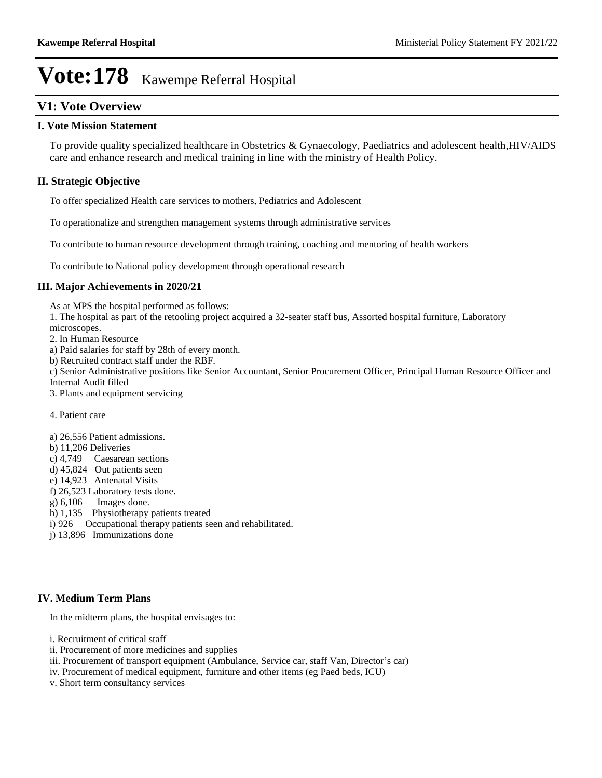### **V1: Vote Overview**

### **I. Vote Mission Statement**

To provide quality specialized healthcare in Obstetrics & Gynaecology, Paediatrics and adolescent health,HIV/AIDS care and enhance research and medical training in line with the ministry of Health Policy.

### **II. Strategic Objective**

To offer specialized Health care services to mothers, Pediatrics and Adolescent

To operationalize and strengthen management systems through administrative services

To contribute to human resource development through training, coaching and mentoring of health workers

To contribute to National policy development through operational research

### **III. Major Achievements in 2020/21**

As at MPS the hospital performed as follows:

1. The hospital as part of the retooling project acquired a 32-seater staff bus, Assorted hospital furniture, Laboratory

microscopes.

2. In Human Resource

a) Paid salaries for staff by 28th of every month.

b) Recruited contract staff under the RBF.

c) Senior Administrative positions like Senior Accountant, Senior Procurement Officer, Principal Human Resource Officer and Internal Audit filled

3. Plants and equipment servicing

### 4. Patient care

- a) 26,556 Patient admissions.
- b) 11,206 Deliveries
- c) 4,749 Caesarean sections
- d) 45,824 Out patients seen
- e) 14,923 Antenatal Visits
- f) 26,523 Laboratory tests done.
- g) 6,106 Images done.
- h) 1,135 Physiotherapy patients treated
- i) 926 Occupational therapy patients seen and rehabilitated.
- j) 13,896 Immunizations done

### **IV. Medium Term Plans**

In the midterm plans, the hospital envisages to:

i. Recruitment of critical staff

- ii. Procurement of more medicines and supplies
- iii. Procurement of transport equipment (Ambulance, Service car, staff Van, Director's car)
- iv. Procurement of medical equipment, furniture and other items (eg Paed beds, ICU)
- v. Short term consultancy services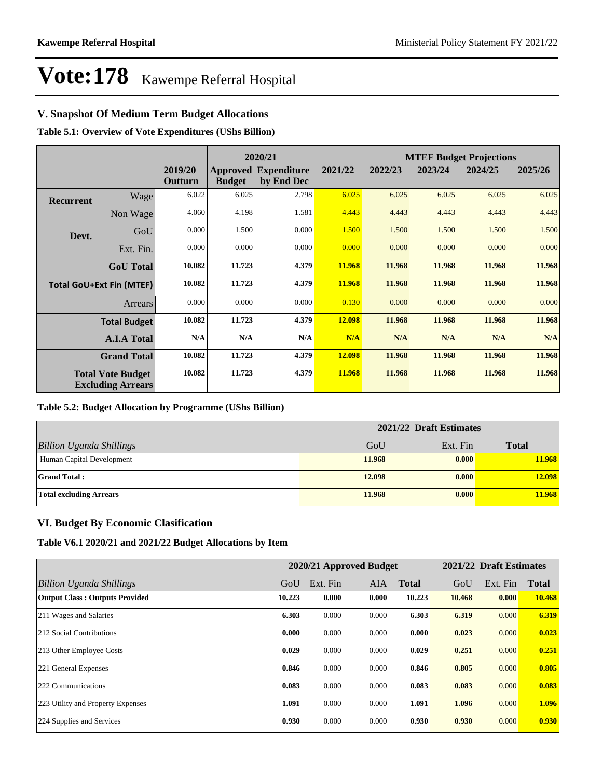### **V. Snapshot Of Medium Term Budget Allocations**

**Table 5.1: Overview of Vote Expenditures (UShs Billion)**

|                                 |                                                      |                    |               | 2020/21                                   |         | <b>MTEF Budget Projections</b> |         |         |         |
|---------------------------------|------------------------------------------------------|--------------------|---------------|-------------------------------------------|---------|--------------------------------|---------|---------|---------|
|                                 |                                                      | 2019/20<br>Outturn | <b>Budget</b> | <b>Approved Expenditure</b><br>by End Dec | 2021/22 | 2022/23                        | 2023/24 | 2024/25 | 2025/26 |
| <b>Recurrent</b>                | Wage                                                 | 6.022              | 6.025         | 2.798                                     | 6.025   | 6.025                          | 6.025   | 6.025   | 6.025   |
|                                 | Non Wage                                             | 4.060              | 4.198         | 1.581                                     | 4.443   | 4.443                          | 4.443   | 4.443   | 4.443   |
| Devt.                           | GoU                                                  | 0.000              | 1.500         | 0.000                                     | 1.500   | 1.500                          | 1.500   | 1.500   | 1.500   |
|                                 | Ext. Fin.                                            | 0.000              | 0.000         | 0.000                                     | 0.000   | 0.000                          | 0.000   | 0.000   | 0.000   |
|                                 | <b>GoU</b> Total                                     | 10.082             | 11.723        | 4.379                                     | 11.968  | 11.968                         | 11.968  | 11.968  | 11.968  |
| <b>Total GoU+Ext Fin (MTEF)</b> |                                                      | 10.082             | 11.723        | 4.379                                     | 11.968  | 11.968                         | 11.968  | 11.968  | 11.968  |
|                                 | <b>Arrears</b>                                       | 0.000              | 0.000         | 0.000                                     | 0.130   | 0.000                          | 0.000   | 0.000   | 0.000   |
|                                 | <b>Total Budget</b>                                  | 10.082             | 11.723        | 4.379                                     | 12.098  | 11.968                         | 11.968  | 11.968  | 11.968  |
|                                 | <b>A.I.A Total</b>                                   | N/A                | N/A           | N/A                                       | N/A     | N/A                            | N/A     | N/A     | N/A     |
|                                 | <b>Grand Total</b>                                   | 10.082             | 11.723        | 4.379                                     | 12.098  | 11.968                         | 11.968  | 11.968  | 11.968  |
|                                 | <b>Total Vote Budget</b><br><b>Excluding Arrears</b> | 10.082             | 11.723        | 4.379                                     | 11.968  | 11.968                         | 11.968  | 11.968  | 11.968  |

#### **Table 5.2: Budget Allocation by Programme (UShs Billion)**

|                                 | 2021/22 Draft Estimates |          |              |  |  |
|---------------------------------|-------------------------|----------|--------------|--|--|
| <b>Billion Uganda Shillings</b> | GoU                     | Ext. Fin | <b>Total</b> |  |  |
| Human Capital Development       | 11.968                  | 0.000    | 11.968       |  |  |
| <b>Grand Total:</b>             | 12.098                  | 0.000    | 12.098       |  |  |
| <b>Total excluding Arrears</b>  | 11.968                  | 0.000    | 11.968       |  |  |

### **VI. Budget By Economic Clasification**

**Table V6.1 2020/21 and 2021/22 Budget Allocations by Item**

|                                       | 2020/21 Approved Budget |          |            |              | 2021/22 Draft Estimates |          |              |
|---------------------------------------|-------------------------|----------|------------|--------------|-------------------------|----------|--------------|
| Billion Uganda Shillings              | GoU                     | Ext. Fin | <b>AIA</b> | <b>Total</b> | GoU                     | Ext. Fin | <b>Total</b> |
| <b>Output Class: Outputs Provided</b> | 10.223                  | 0.000    | 0.000      | 10.223       | 10.468                  | 0.000    | 10.468       |
| 211 Wages and Salaries                | 6.303                   | 0.000    | 0.000      | 6.303        | 6.319                   | 0.000    | 6.319        |
| 212 Social Contributions              | 0.000                   | 0.000    | 0.000      | 0.000        | 0.023                   | 0.000    | 0.023        |
| 213 Other Employee Costs              | 0.029                   | 0.000    | 0.000      | 0.029        | 0.251                   | 0.000    | 0.251        |
| 221 General Expenses                  | 0.846                   | 0.000    | 0.000      | 0.846        | 0.805                   | 0.000    | 0.805        |
| 222 Communications                    | 0.083                   | 0.000    | 0.000      | 0.083        | 0.083                   | 0.000    | 0.083        |
| 223 Utility and Property Expenses     | 1.091                   | 0.000    | 0.000      | 1.091        | 1.096                   | 0.000    | 1.096        |
| 224 Supplies and Services             | 0.930                   | 0.000    | 0.000      | 0.930        | 0.930                   | 0.000    | 0.930        |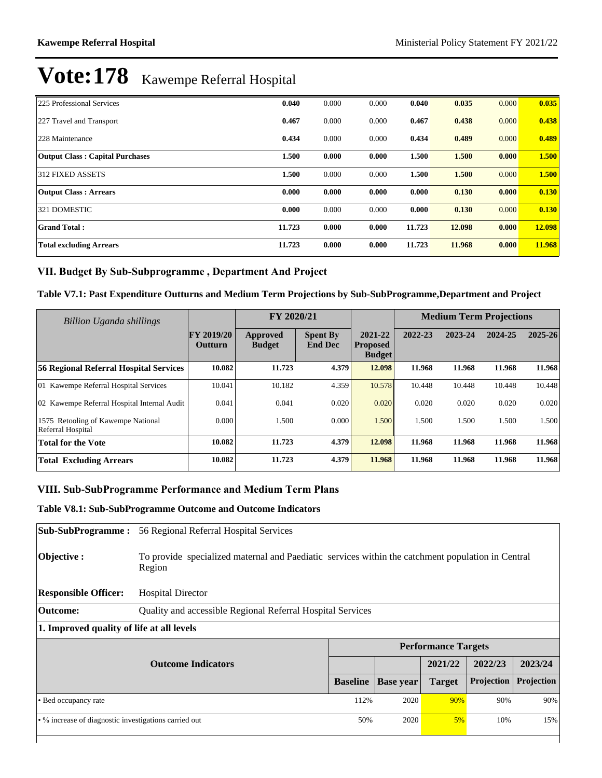| 225 Professional Services              | 0.040  | 0.000 | 0.000 | 0.040  | 0.035  | 0.000 | 0.035  |
|----------------------------------------|--------|-------|-------|--------|--------|-------|--------|
| 227 Travel and Transport               | 0.467  | 0.000 | 0.000 | 0.467  | 0.438  | 0.000 | 0.438  |
| 228 Maintenance                        | 0.434  | 0.000 | 0.000 | 0.434  | 0.489  | 0.000 | 0.489  |
| <b>Output Class: Capital Purchases</b> | 1.500  | 0.000 | 0.000 | 1.500  | 1.500  | 0.000 | 1.500  |
| 312 FIXED ASSETS                       | 1.500  | 0.000 | 0.000 | 1.500  | 1.500  | 0.000 | 1.500  |
| <b>Output Class: Arrears</b>           | 0.000  | 0.000 | 0.000 | 0.000  | 0.130  | 0.000 | 0.130  |
| 321 DOMESTIC                           | 0.000  | 0.000 | 0.000 | 0.000  | 0.130  | 0.000 | 0.130  |
| <b>Grand Total:</b>                    | 11.723 | 0.000 | 0.000 | 11.723 | 12.098 | 0.000 | 12.098 |
| <b>Total excluding Arrears</b>         | 11.723 | 0.000 | 0.000 | 11.723 | 11.968 | 0.000 | 11.968 |

### VII. Budget By Sub-Subprogramme, Department And Project

### **Table V7.1: Past Expenditure Outturns and Medium Term Projections by Sub-SubProgramme,Department and Project**

| Billion Uganda shillings                                |                                     | FY 2020/21                |                                   |                                             | <b>Medium Term Projections</b> |         |         |         |
|---------------------------------------------------------|-------------------------------------|---------------------------|-----------------------------------|---------------------------------------------|--------------------------------|---------|---------|---------|
|                                                         | <b>FY 2019/20</b><br><b>Outturn</b> | Approved<br><b>Budget</b> | <b>Spent By</b><br><b>End Dec</b> | 2021-22<br><b>Proposed</b><br><b>Budget</b> | 2022-23                        | 2023-24 | 2024-25 | 2025-26 |
| 56 Regional Referral Hospital Services                  | 10.082                              | 11.723                    | 4.379                             | 12.098                                      | 11.968                         | 11.968  | 11.968  | 11.968  |
| 01 Kawempe Referral Hospital Services                   | 10.041                              | 10.182                    | 4.359                             | 10.578                                      | 10.448                         | 10.448  | 10.448  | 10.448  |
| 02 Kawempe Referral Hospital Internal Audit             | 0.041                               | 0.041                     | 0.020                             | 0.020                                       | 0.020                          | 0.020   | 0.020   | 0.020   |
| 1575 Retooling of Kawempe National<br>Referral Hospital | 0.000                               | 1.500                     | 0.000                             | 1.500                                       | 1.500                          | 1.500   | 1.500   | 1.500   |
| <b>Total for the Vote</b>                               | 10.082                              | 11.723                    | 4.379                             | 12.098                                      | 11.968                         | 11.968  | 11.968  | 11.968  |
| <b>Total Excluding Arrears</b>                          | 10.082                              | 11.723                    | 4.379                             | 11.968                                      | 11.968                         | 11.968  | 11.968  | 11.968  |

### **VIII. Sub-SubProgramme Performance and Medium Term Plans**

### **Table V8.1: Sub-SubProgramme Outcome and Outcome Indicators**

| <b>Sub-SubProgramme :</b>                             | 56 Regional Referral Hospital Services                                                                      |                   |                  |                            |                   |            |  |  |  |  |
|-------------------------------------------------------|-------------------------------------------------------------------------------------------------------------|-------------------|------------------|----------------------------|-------------------|------------|--|--|--|--|
| Objective:                                            | To provide specialized maternal and Paediatic services within the catchment population in Central<br>Region |                   |                  |                            |                   |            |  |  |  |  |
| <b>Responsible Officer:</b>                           | <b>Hospital Director</b>                                                                                    |                   |                  |                            |                   |            |  |  |  |  |
| <b>Outcome:</b>                                       | Quality and accessible Regional Referral Hospital Services                                                  |                   |                  |                            |                   |            |  |  |  |  |
| 1. Improved quality of life at all levels             |                                                                                                             |                   |                  |                            |                   |            |  |  |  |  |
|                                                       |                                                                                                             |                   |                  | <b>Performance Targets</b> |                   |            |  |  |  |  |
|                                                       | <b>Outcome Indicators</b>                                                                                   |                   |                  | 2021/22                    | 2022/23           | 2023/24    |  |  |  |  |
|                                                       |                                                                                                             | <b>Baseline</b>   | <b>Base year</b> | <b>Target</b>              | <b>Projection</b> | Projection |  |  |  |  |
| • Bed occupancy rate                                  |                                                                                                             | 112%              | 2020             | 90%                        | 90%               | 90%        |  |  |  |  |
| • % increase of diagnostic investigations carried out |                                                                                                             | 50%<br>2020<br>5% |                  | 10%                        | 15%               |            |  |  |  |  |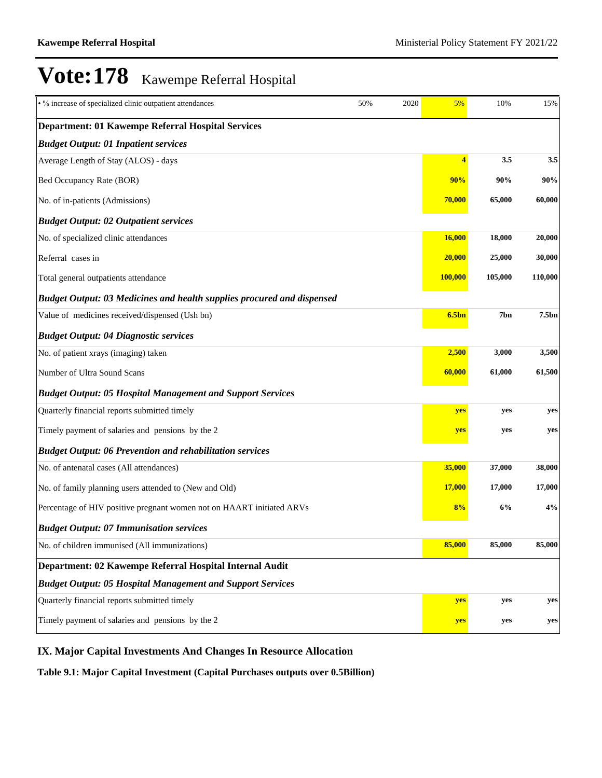| • % increase of specialized clinic outpatient attendances              | 50% | 2020 | 5%                | 10%     | 15%               |
|------------------------------------------------------------------------|-----|------|-------------------|---------|-------------------|
| Department: 01 Kawempe Referral Hospital Services                      |     |      |                   |         |                   |
| <b>Budget Output: 01 Inpatient services</b>                            |     |      |                   |         |                   |
| Average Length of Stay (ALOS) - days                                   |     |      | 4                 | 3.5     | 3.5               |
| Bed Occupancy Rate (BOR)                                               |     |      | 90%               | 90%     | 90%               |
| No. of in-patients (Admissions)                                        |     |      | 70,000            | 65,000  | 60,000            |
| <b>Budget Output: 02 Outpatient services</b>                           |     |      |                   |         |                   |
| No. of specialized clinic attendances                                  |     |      | 16,000            | 18,000  | 20,000            |
| Referral cases in                                                      |     |      | 20,000            | 25,000  | 30,000            |
| Total general outpatients attendance                                   |     |      | 100,000           | 105,000 | 110,000           |
| Budget Output: 03 Medicines and health supplies procured and dispensed |     |      |                   |         |                   |
| Value of medicines received/dispensed (Ush bn)                         |     |      | 6.5 <sub>bn</sub> | 7bn     | 7.5 <sub>bn</sub> |
| <b>Budget Output: 04 Diagnostic services</b>                           |     |      |                   |         |                   |
| No. of patient xrays (imaging) taken                                   |     |      | 2,500             | 3,000   | 3,500             |
| Number of Ultra Sound Scans                                            |     |      | 60,000            | 61,000  | 61,500            |
| <b>Budget Output: 05 Hospital Management and Support Services</b>      |     |      |                   |         |                   |
| Quarterly financial reports submitted timely                           |     |      | yes               | yes     | yes               |
| Timely payment of salaries and pensions by the 2                       |     |      | yes               | yes     | yes               |
| <b>Budget Output: 06 Prevention and rehabilitation services</b>        |     |      |                   |         |                   |
| No. of antenatal cases (All attendances)                               |     |      | 35,000            | 37,000  | 38,000            |
| No. of family planning users attended to (New and Old)                 |     |      | 17,000            | 17,000  | 17,000            |
| Percentage of HIV positive pregnant women not on HAART initiated ARVs  |     |      | 8%                | 6%      | 4%                |
| <b>Budget Output: 07 Immunisation services</b>                         |     |      |                   |         |                   |
| No. of children immunised (All immunizations)                          |     |      | 85,000            | 85,000  | 85,000            |
| Department: 02 Kawempe Referral Hospital Internal Audit                |     |      |                   |         |                   |
| <b>Budget Output: 05 Hospital Management and Support Services</b>      |     |      |                   |         |                   |
| Quarterly financial reports submitted timely                           |     |      | yes               | yes     | yes               |
| Timely payment of salaries and pensions by the 2                       |     |      | yes               | yes     | yes               |

## **IX. Major Capital Investments And Changes In Resource Allocation**

**Table 9.1: Major Capital Investment (Capital Purchases outputs over 0.5Billion)**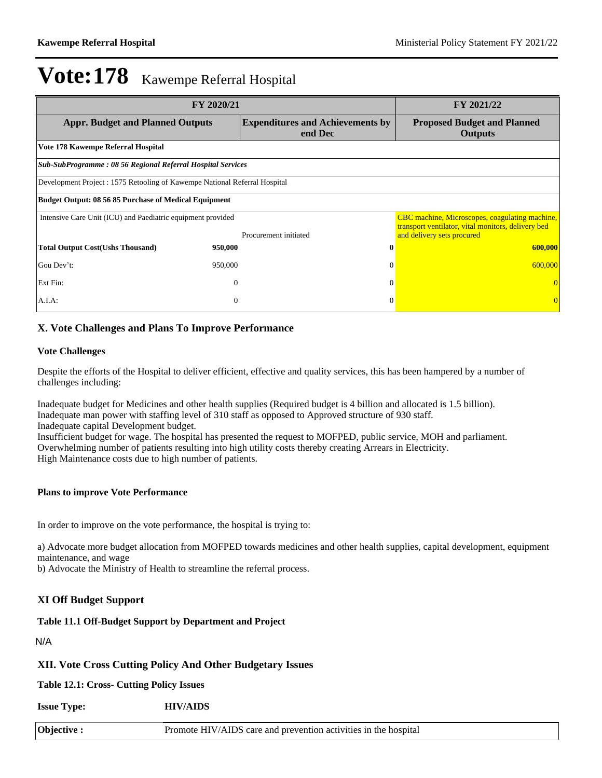| FY 2020/21                                                                 | FY 2021/22       |                                                    |                                                                                                             |
|----------------------------------------------------------------------------|------------------|----------------------------------------------------|-------------------------------------------------------------------------------------------------------------|
| <b>Appr. Budget and Planned Outputs</b>                                    |                  | <b>Expenditures and Achievements by</b><br>end Dec | <b>Proposed Budget and Planned</b><br><b>Outputs</b>                                                        |
| Vote 178 Kawempe Referral Hospital                                         |                  |                                                    |                                                                                                             |
| Sub-SubProgramme: 08 56 Regional Referral Hospital Services                |                  |                                                    |                                                                                                             |
| Development Project : 1575 Retooling of Kawempe National Referral Hospital |                  |                                                    |                                                                                                             |
| <b>Budget Output: 08 56 85 Purchase of Medical Equipment</b>               |                  |                                                    |                                                                                                             |
| Intensive Care Unit (ICU) and Paediatric equipment provided                |                  |                                                    | <b>CBC</b> machine, Microscopes, coagulating machine,<br>transport ventilator, vital monitors, delivery bed |
|                                                                            |                  | Procurement initiated                              | and delivery sets procured                                                                                  |
| <b>Total Output Cost(Ushs Thousand)</b>                                    | 950,000          | $\mathbf 0$                                        | 600,000                                                                                                     |
| Gou Dev't:                                                                 | 950,000          | $\Omega$                                           | 600,000                                                                                                     |
| Ext Fin:                                                                   | $\theta$         | $\Omega$                                           |                                                                                                             |
| $A.I.A$ :                                                                  | $\boldsymbol{0}$ | $\Omega$                                           | $\Omega$                                                                                                    |

### **X. Vote Challenges and Plans To Improve Performance**

### **Vote Challenges**

Despite the efforts of the Hospital to deliver efficient, effective and quality services, this has been hampered by a number of challenges including:

Inadequate budget for Medicines and other health supplies (Required budget is 4 billion and allocated is 1.5 billion). Inadequate man power with staffing level of 310 staff as opposed to Approved structure of 930 staff. Inadequate capital Development budget.

Insufficient budget for wage. The hospital has presented the request to MOFPED, public service, MOH and parliament. Overwhelming number of patients resulting into high utility costs thereby creating Arrears in Electricity. High Maintenance costs due to high number of patients.

#### **Plans to improve Vote Performance**

In order to improve on the vote performance, the hospital is trying to:

a) Advocate more budget allocation from MOFPED towards medicines and other health supplies, capital development, equipment maintenance, and wage

b) Advocate the Ministry of Health to streamline the referral process.

### **XI Off Budget Support**

## **Table 11.1 Off-Budget Support by Department and Project**

N/A

### **XII. Vote Cross Cutting Policy And Other Budgetary Issues**

**Table 12.1: Cross- Cutting Policy Issues**

**Issue Type: HIV/AIDS**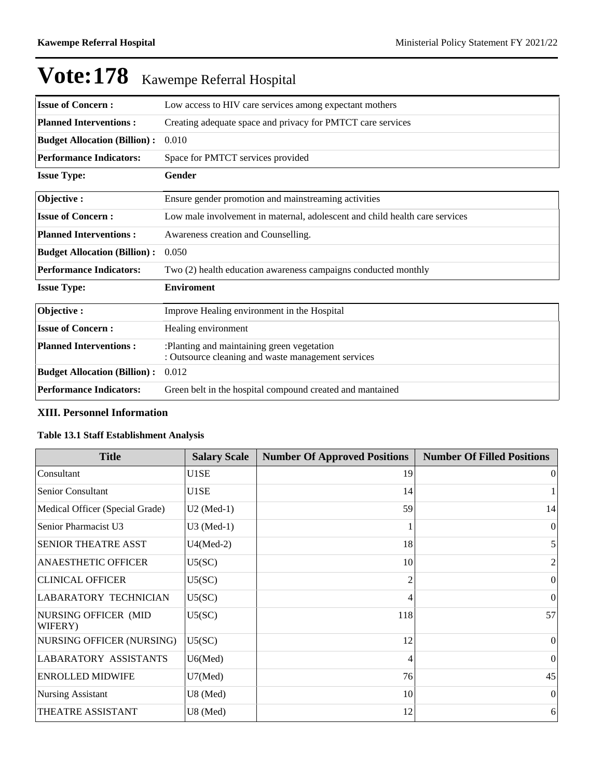| <b>Issue of Concern:</b>            | Low access to HIV care services among expectant mothers                                          |
|-------------------------------------|--------------------------------------------------------------------------------------------------|
| <b>Planned Interventions:</b>       | Creating adequate space and privacy for PMTCT care services                                      |
| <b>Budget Allocation (Billion):</b> | 0.010                                                                                            |
| <b>Performance Indicators:</b>      | Space for PMTCT services provided                                                                |
| <b>Issue Type:</b>                  | Gender                                                                                           |
| Objective:                          | Ensure gender promotion and mainstreaming activities                                             |
| <b>Issue of Concern:</b>            | Low male involvement in maternal, adolescent and child health care services                      |
| <b>Planned Interventions:</b>       | Awareness creation and Counselling.                                                              |
| <b>Budget Allocation (Billion):</b> | 0.050                                                                                            |
| <b>Performance Indicators:</b>      | Two (2) health education awareness campaigns conducted monthly                                   |
| <b>Issue Type:</b>                  | <b>Enviroment</b>                                                                                |
| Objective:                          | Improve Healing environment in the Hospital                                                      |
| <b>Issue of Concern:</b>            | Healing environment                                                                              |
| <b>Planned Interventions:</b>       | :Planting and maintaining green vegetation<br>: Outsource cleaning and waste management services |
| <b>Budget Allocation (Billion):</b> | 0.012                                                                                            |
| <b>Performance Indicators:</b>      | Green belt in the hospital compound created and mantained                                        |

### **XIII. Personnel Information**

### **Table 13.1 Staff Establishment Analysis**

| <b>Title</b>                    | <b>Salary Scale</b> | <b>Number Of Approved Positions</b> | <b>Number Of Filled Positions</b> |
|---------------------------------|---------------------|-------------------------------------|-----------------------------------|
| Consultant                      | U1SE                | 19                                  | $\vert$ 0                         |
| Senior Consultant               | U1SE                | 14                                  |                                   |
| Medical Officer (Special Grade) | $U2$ (Med-1)        | 59                                  | 14                                |
| Senior Pharmacist U3            | $U3$ (Med-1)        |                                     | $\Omega$                          |
| <b>SENIOR THEATRE ASST</b>      | $U4(Med-2)$         | 18                                  | 5 <sup>1</sup>                    |
| <b>ANAESTHETIC OFFICER</b>      | U5(SC)              | 10                                  | 2                                 |
| <b>CLINICAL OFFICER</b>         | U5(SC)              | $\overline{c}$                      | $\vert$ 0                         |
| LABARATORY TECHNICIAN           | U5(SC)              | 4                                   | $\vert$ 0                         |
| NURSING OFFICER (MID<br>WIFERY) | U5(SC)              | 118                                 | 57                                |
| NURSING OFFICER (NURSING)       | U5(SC)              | 12                                  | $\theta$                          |
| <b>LABARATORY ASSISTANTS</b>    | U6(Med)             | 4                                   | $\theta$                          |
| <b>ENROLLED MIDWIFE</b>         | $U7$ (Med)          | 76                                  | 45                                |
| <b>Nursing Assistant</b>        | $U8$ (Med)          | 10                                  | $\Omega$                          |
| THEATRE ASSISTANT               | U8 (Med)            | 12                                  | 6                                 |